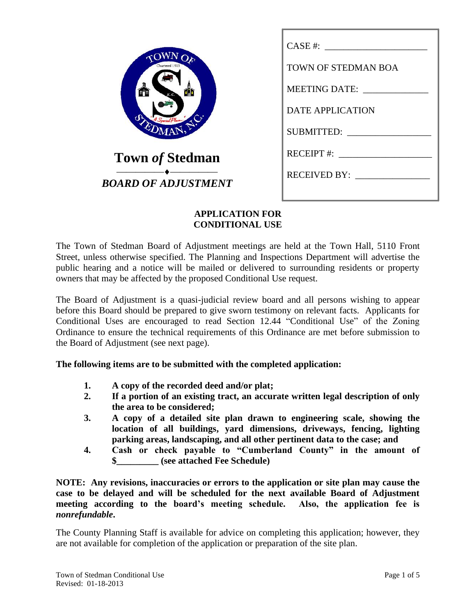| Chartered 1911             | TOWN OF STEDMAN BOA         |
|----------------------------|-----------------------------|
|                            | MEETING DATE: _____________ |
|                            | <b>DATE APPLICATION</b>     |
|                            |                             |
| <b>Town of Stedman</b>     | RECEIPT #: $\qquad \qquad$  |
| <b>BOARD OF ADJUSTMENT</b> | RECEIVED BY:                |
|                            |                             |

### **APPLICATION FOR CONDITIONAL USE**

The Town of Stedman Board of Adjustment meetings are held at the Town Hall, 5110 Front Street, unless otherwise specified. The Planning and Inspections Department will advertise the public hearing and a notice will be mailed or delivered to surrounding residents or property owners that may be affected by the proposed Conditional Use request.

The Board of Adjustment is a quasi-judicial review board and all persons wishing to appear before this Board should be prepared to give sworn testimony on relevant facts. Applicants for Conditional Uses are encouraged to read Section 12.44 "Conditional Use" of the Zoning Ordinance to ensure the technical requirements of this Ordinance are met before submission to the Board of Adjustment (see next page).

**The following items are to be submitted with the completed application:**

- **1. A copy of the recorded deed and/or plat;**
- **2. If a portion of an existing tract, an accurate written legal description of only the area to be considered;**
- **3. A copy of a detailed site plan drawn to engineering scale, showing the location of all buildings, yard dimensions, driveways, fencing, lighting parking areas, landscaping, and all other pertinent data to the case; and**
- **4. Cash or check payable to "Cumberland County" in the amount of \$\_\_\_\_\_\_\_\_\_ (see attached Fee Schedule)**

**NOTE: Any revisions, inaccuracies or errors to the application or site plan may cause the case to be delayed and will be scheduled for the next available Board of Adjustment meeting according to the board's meeting schedule. Also, the application fee is**  *nonrefundable***.**

The County Planning Staff is available for advice on completing this application; however, they are not available for completion of the application or preparation of the site plan.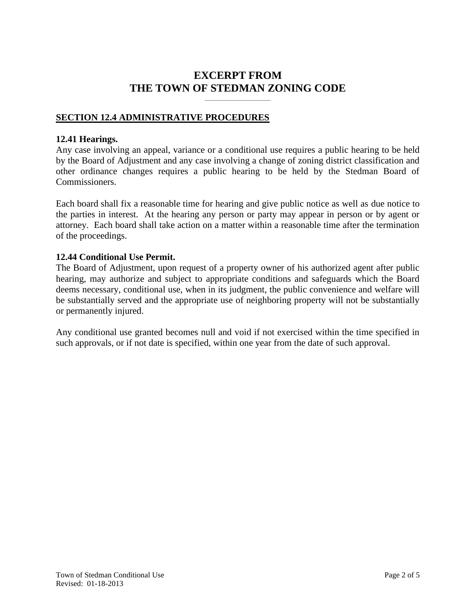# **EXCERPT FROM THE TOWN OF STEDMAN ZONING CODE**

**\_\_\_\_\_\_\_\_\_\_\_\_\_\_\_\_\_\_\_**

## **SECTION 12.4 ADMINISTRATIVE PROCEDURES**

#### **12.41 Hearings.**

Any case involving an appeal, variance or a conditional use requires a public hearing to be held by the Board of Adjustment and any case involving a change of zoning district classification and other ordinance changes requires a public hearing to be held by the Stedman Board of Commissioners.

Each board shall fix a reasonable time for hearing and give public notice as well as due notice to the parties in interest. At the hearing any person or party may appear in person or by agent or attorney. Each board shall take action on a matter within a reasonable time after the termination of the proceedings.

#### **12.44 Conditional Use Permit.**

The Board of Adjustment, upon request of a property owner of his authorized agent after public hearing, may authorize and subject to appropriate conditions and safeguards which the Board deems necessary, conditional use, when in its judgment, the public convenience and welfare will be substantially served and the appropriate use of neighboring property will not be substantially or permanently injured.

Any conditional use granted becomes null and void if not exercised within the time specified in such approvals, or if not date is specified, within one year from the date of such approval.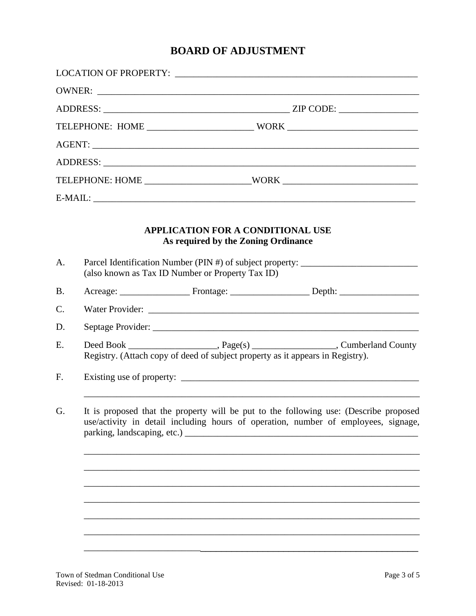# **BOARD OF ADJUSTMENT**

|                |                                                                                                                                                                             | TELEPHONE: HOME ___________________________WORK ________________________________ |  |
|----------------|-----------------------------------------------------------------------------------------------------------------------------------------------------------------------------|----------------------------------------------------------------------------------|--|
|                |                                                                                                                                                                             |                                                                                  |  |
|                |                                                                                                                                                                             | <b>APPLICATION FOR A CONDITIONAL USE</b><br>As required by the Zoning Ordinance  |  |
| A <sub>1</sub> | (also known as Tax ID Number or Property Tax ID)                                                                                                                            | Parcel Identification Number (PIN #) of subject property:                        |  |
| <b>B.</b>      |                                                                                                                                                                             |                                                                                  |  |
| C.             |                                                                                                                                                                             |                                                                                  |  |
| D.             |                                                                                                                                                                             |                                                                                  |  |
| E.             |                                                                                                                                                                             | Registry. (Attach copy of deed of subject property as it appears in Registry).   |  |
| F.             |                                                                                                                                                                             |                                                                                  |  |
| G.             | It is proposed that the property will be put to the following use: (Describe proposed<br>use/activity in detail including hours of operation, number of employees, signage, |                                                                                  |  |
|                |                                                                                                                                                                             |                                                                                  |  |
|                |                                                                                                                                                                             |                                                                                  |  |
|                |                                                                                                                                                                             |                                                                                  |  |
|                |                                                                                                                                                                             |                                                                                  |  |
|                |                                                                                                                                                                             |                                                                                  |  |
|                |                                                                                                                                                                             |                                                                                  |  |
|                |                                                                                                                                                                             |                                                                                  |  |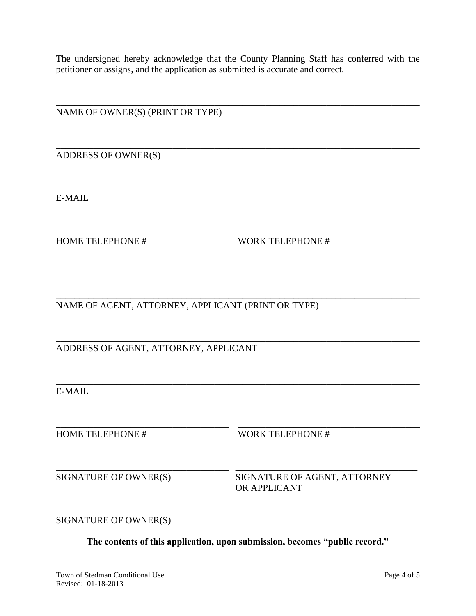The undersigned hereby acknowledge that the County Planning Staff has conferred with the petitioner or assigns, and the application as submitted is accurate and correct.

\_\_\_\_\_\_\_\_\_\_\_\_\_\_\_\_\_\_\_\_\_\_\_\_\_\_\_\_\_\_\_\_\_\_\_\_\_\_\_\_\_\_\_\_\_\_\_\_\_\_\_\_\_\_\_\_\_\_\_\_\_\_\_\_\_\_\_\_\_\_\_\_\_\_\_\_\_\_ NAME OF OWNER(S) (PRINT OR TYPE) \_\_\_\_\_\_\_\_\_\_\_\_\_\_\_\_\_\_\_\_\_\_\_\_\_\_\_\_\_\_\_\_\_\_\_\_\_\_\_\_\_\_\_\_\_\_\_\_\_\_\_\_\_\_\_\_\_\_\_\_\_\_\_\_\_\_\_\_\_\_\_\_\_\_\_\_\_\_ ADDRESS OF OWNER(S) \_\_\_\_\_\_\_\_\_\_\_\_\_\_\_\_\_\_\_\_\_\_\_\_\_\_\_\_\_\_\_\_\_\_\_\_\_\_\_\_\_\_\_\_\_\_\_\_\_\_\_\_\_\_\_\_\_\_\_\_\_\_\_\_\_\_\_\_\_\_\_\_\_\_\_\_\_\_ E-MAIL \_\_\_\_\_\_\_\_\_\_\_\_\_\_\_\_\_\_\_\_\_\_\_\_\_\_\_\_\_\_\_\_\_\_\_\_\_ \_\_\_\_\_\_\_\_\_\_\_\_\_\_\_\_\_\_\_\_\_\_\_\_\_\_\_\_\_\_\_\_\_\_\_\_\_\_\_ HOME TELEPHONE # WORK TELEPHONE # \_\_\_\_\_\_\_\_\_\_\_\_\_\_\_\_\_\_\_\_\_\_\_\_\_\_\_\_\_\_\_\_\_\_\_\_\_\_\_\_\_\_\_\_\_\_\_\_\_\_\_\_\_\_\_\_\_\_\_\_\_\_\_\_\_\_\_\_\_\_\_\_\_\_\_\_\_\_ NAME OF AGENT, ATTORNEY, APPLICANT (PRINT OR TYPE) \_\_\_\_\_\_\_\_\_\_\_\_\_\_\_\_\_\_\_\_\_\_\_\_\_\_\_\_\_\_\_\_\_\_\_\_\_\_\_\_\_\_\_\_\_\_\_\_\_\_\_\_\_\_\_\_\_\_\_\_\_\_\_\_\_\_\_\_\_\_\_\_\_\_\_\_\_\_ ADDRESS OF AGENT, ATTORNEY, APPLICANT \_\_\_\_\_\_\_\_\_\_\_\_\_\_\_\_\_\_\_\_\_\_\_\_\_\_\_\_\_\_\_\_\_\_\_\_\_\_\_\_\_\_\_\_\_\_\_\_\_\_\_\_\_\_\_\_\_\_\_\_\_\_\_\_\_\_\_\_\_\_\_\_\_\_\_\_\_\_ E-MAIL \_\_\_\_\_\_\_\_\_\_\_\_\_\_\_\_\_\_\_\_\_\_\_\_\_\_\_\_\_\_\_\_\_\_\_\_\_ \_\_\_\_\_\_\_\_\_\_\_\_\_\_\_\_\_\_\_\_\_\_\_\_\_\_\_\_\_\_\_\_\_\_\_\_\_\_\_ HOME TELEPHONE # WORK TELEPHONE #

\_\_\_\_\_\_\_\_\_\_\_\_\_\_\_\_\_\_\_\_\_\_\_\_\_\_\_\_\_\_\_\_\_\_\_\_\_ \_\_\_\_\_\_\_\_\_\_\_\_\_\_\_\_\_\_\_\_\_\_\_\_\_\_\_\_\_\_\_\_\_\_\_\_\_\_\_ SIGNATURE OF OWNER(S) SIGNATURE OF AGENT, ATTORNEY OR APPLICANT

SIGNATURE OF OWNER(S)

\_\_\_\_\_\_\_\_\_\_\_\_\_\_\_\_\_\_\_\_\_\_\_\_\_\_\_\_\_\_\_\_\_\_\_\_\_

**The contents of this application, upon submission, becomes "public record."**